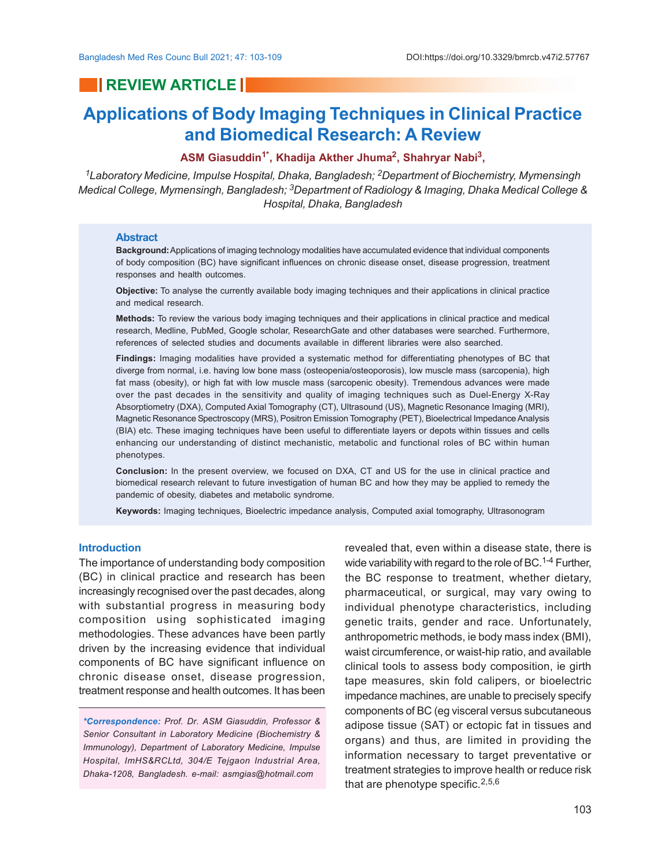## **REVIEW ARTICLE**

# **Applications of Body Imaging Techniques in Clinical Practice and Biomedical Research: A Review**

#### **ASM Giasuddin1\*, Khadija Akther Jhuma<sup>2</sup> , Shahryar Nabi<sup>3</sup> ,**

*<sup>1</sup>Laboratory Medicine, Impulse Hospital, Dhaka, Bangladesh; <sup>2</sup>Department of Biochemistry, Mymensingh Medical College, Mymensingh, Bangladesh; 3Department of Radiology & Imaging, Dhaka Medical College & Hospital, Dhaka, Bangladesh*

#### **Abstract**

**Background:**Applications of imaging technology modalities have accumulated evidence that individual components of body composition (BC) have significant influences on chronic disease onset, disease progression, treatment responses and health outcomes.

**Objective:** To analyse the currently available body imaging techniques and their applications in clinical practice and medical research.

**Methods:** To review the various body imaging techniques and their applications in clinical practice and medical research, Medline, PubMed, Google scholar, ResearchGate and other databases were searched. Furthermore, references of selected studies and documents available in different libraries were also searched.

**Findings:** Imaging modalities have provided a systematic method for differentiating phenotypes of BC that diverge from normal, i.e. having low bone mass (osteopenia/osteoporosis), low muscle mass (sarcopenia), high fat mass (obesity), or high fat with low muscle mass (sarcopenic obesity). Tremendous advances were made over the past decades in the sensitivity and quality of imaging techniques such as Duel-Energy X-Ray Absorptiometry (DXA), Computed Axial Tomography (CT), Ultrasound (US), Magnetic Resonance Imaging (MRI), Magnetic Resonance Spectroscopy (MRS), Positron Emission Tomography (PET), Bioelectrical Impedance Analysis (BIA) etc. These imaging techniques have been useful to differentiate layers or depots within tissues and cells enhancing our understanding of distinct mechanistic, metabolic and functional roles of BC within human phenotypes.

**Conclusion:** In the present overview, we focused on DXA, CT and US for the use in clinical practice and biomedical research relevant to future investigation of human BC and how they may be applied to remedy the pandemic of obesity, diabetes and metabolic syndrome.

**Keywords:** Imaging techniques, Bioelectric impedance analysis, Computed axial tomography, Ultrasonogram

### **Introduction**

The importance of understanding body composition (BC) in clinical practice and research has been increasingly recognised over the past decades, along with substantial progress in measuring body composition using sophisticated imaging methodologies. These advances have been partly driven by the increasing evidence that individual components of BC have significant influence on chronic disease onset, disease progression, treatment response and health outcomes. It has been

*\*Correspondence: Prof. Dr. ASM Giasuddin, Professor & Senior Consultant in Laboratory Medicine (Biochemistry & Immunology), Department of Laboratory Medicine, Impulse Hospital, ImHS&RCLtd, 304/E Tejgaon Industrial Area, Dhaka-1208, Bangladesh. e-mail: asmgias@hotmail.com*

revealed that, even within a disease state, there is wide variability with regard to the role of BC.<sup>1-4</sup> Further, the BC response to treatment, whether dietary, pharmaceutical, or surgical, may vary owing to individual phenotype characteristics, including genetic traits, gender and race. Unfortunately, anthropometric methods, ie body mass index (BMI), waist circumference, or waist-hip ratio, and available clinical tools to assess body composition, ie girth tape measures, skin fold calipers, or bioelectric impedance machines, are unable to precisely specify components of BC (eg visceral versus subcutaneous adipose tissue (SAT) or ectopic fat in tissues and organs) and thus, are limited in providing the information necessary to target preventative or treatment strategies to improve health or reduce risk that are phenotype specific.  $2,5,6$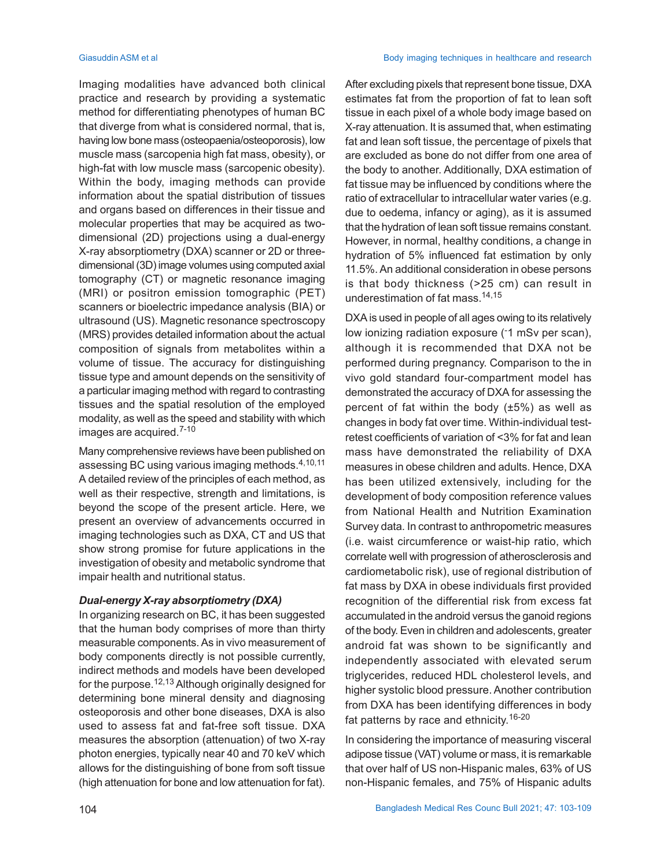Imaging modalities have advanced both clinical practice and research by providing a systematic method for differentiating phenotypes of human BC that diverge from what is considered normal, that is, having low bone mass (osteopaenia/osteoporosis), low muscle mass (sarcopenia high fat mass, obesity), or high-fat with low muscle mass (sarcopenic obesity). Within the body, imaging methods can provide information about the spatial distribution of tissues and organs based on differences in their tissue and molecular properties that may be acquired as twodimensional (2D) projections using a dual-energy X-ray absorptiometry (DXA) scanner or 2D or threedimensional (3D) image volumes using computed axial tomography (CT) or magnetic resonance imaging (MRI) or positron emission tomographic (PET) scanners or bioelectric impedance analysis (BIA) or ultrasound (US). Magnetic resonance spectroscopy (MRS) provides detailed information about the actual composition of signals from metabolites within a volume of tissue. The accuracy for distinguishing tissue type and amount depends on the sensitivity of a particular imaging method with regard to contrasting tissues and the spatial resolution of the employed modality, as well as the speed and stability with which images are acquired.7-10

Many comprehensive reviews have been published on assessing BC using various imaging methods.<sup>4,10,11</sup> A detailed review of the principles of each method, as well as their respective, strength and limitations, is beyond the scope of the present article. Here, we present an overview of advancements occurred in imaging technologies such as DXA, CT and US that show strong promise for future applications in the investigation of obesity and metabolic syndrome that impair health and nutritional status.

#### *Dual-energy X-ray absorptiometry (DXA)*

In organizing research on BC, it has been suggested that the human body comprises of more than thirty measurable components. As in vivo measurement of body components directly is not possible currently, indirect methods and models have been developed for the purpose.12,13 Although originally designed for determining bone mineral density and diagnosing osteoporosis and other bone diseases, DXA is also used to assess fat and fat-free soft tissue. DXA measures the absorption (attenuation) of two X-ray photon energies, typically near 40 and 70 keV which allows for the distinguishing of bone from soft tissue (high attenuation for bone and low attenuation for fat).

After excluding pixels that represent bone tissue, DXA estimates fat from the proportion of fat to lean soft tissue in each pixel of a whole body image based on X-ray attenuation. It is assumed that, when estimating fat and lean soft tissue, the percentage of pixels that are excluded as bone do not differ from one area of the body to another. Additionally, DXA estimation of fat tissue may be influenced by conditions where the ratio of extracellular to intracellular water varies (e.g. due to oedema, infancy or aging), as it is assumed that the hydration of lean soft tissue remains constant. However, in normal, healthy conditions, a change in hydration of 5% influenced fat estimation by only 11.5%. An additional consideration in obese persons is that body thickness (>25 cm) can result in underestimation of fat mass.14,15

DXA is used in people of all ages owing to its relatively low ionizing radiation exposure (-1 mSv per scan), although it is recommended that DXA not be performed during pregnancy. Comparison to the in vivo gold standard four-compartment model has demonstrated the accuracy of DXA for assessing the percent of fat within the body (±5%) as well as changes in body fat over time. Within-individual testretest coefficients of variation of <3% for fat and lean mass have demonstrated the reliability of DXA measures in obese children and adults. Hence, DXA has been utilized extensively, including for the development of body composition reference values from National Health and Nutrition Examination Survey data. In contrast to anthropometric measures (i.e. waist circumference or waist-hip ratio, which correlate well with progression of atherosclerosis and cardiometabolic risk), use of regional distribution of fat mass by DXA in obese individuals first provided recognition of the differential risk from excess fat accumulated in the android versus the ganoid regions of the body. Even in children and adolescents, greater android fat was shown to be significantly and independently associated with elevated serum triglycerides, reduced HDL cholesterol levels, and higher systolic blood pressure. Another contribution from DXA has been identifying differences in body fat patterns by race and ethnicity. 16-20

In considering the importance of measuring visceral adipose tissue (VAT) volume or mass, it is remarkable that over half of US non-Hispanic males, 63% of US non-Hispanic females, and 75% of Hispanic adults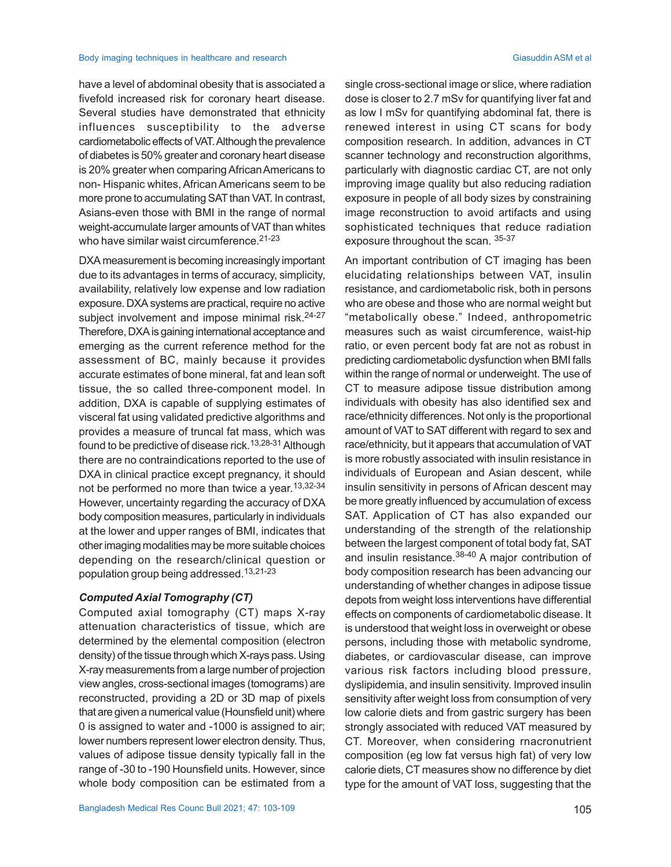have a level of abdominal obesity that is associated a fivefold increased risk for coronary heart disease. Several studies have demonstrated that ethnicity influences susceptibility to the adverse cardiometabolic effects of VAT. Although the prevalence of diabetes is 50% greater and coronary heart disease is 20% greater when comparing African Americans to non- Hispanic whites, African Americans seem to be more prone to accumulating SAT than VAT. In contrast, Asians-even those with BMI in the range of normal weight-accumulate larger amounts of VAT than whites who have similar waist circumference.<sup>21-23</sup>

DXA measurement is becoming increasingly important due to its advantages in terms of accuracy, simplicity, availability, relatively low expense and low radiation exposure. DXA systems are practical, require no active subject involvement and impose minimal risk.<sup>24-27</sup> Therefore, DXA is gaining international acceptance and emerging as the current reference method for the assessment of BC, mainly because it provides accurate estimates of bone mineral, fat and lean soft tissue, the so called three-component model. In addition, DXA is capable of supplying estimates of visceral fat using validated predictive algorithms and provides a measure of truncal fat mass, which was found to be predictive of disease rick.<sup>13,28-31</sup> Although there are no contraindications reported to the use of DXA in clinical practice except pregnancy, it should not be performed no more than twice a year. 13,32-34 However, uncertainty regarding the accuracy of DXA body composition measures, particularly in individuals at the lower and upper ranges of BMI, indicates that other imaging modalities may be more suitable choices depending on the research/clinical question or population group being addressed.13,21-23

#### *Computed Axial Tomography (CT)*

Computed axial tomography (CT) maps X-ray attenuation characteristics of tissue, which are determined by the elemental composition (electron density) of the tissue through which X-rays pass. Using X-ray measurements from a large number of projection view angles, cross-sectional images (tomograms) are reconstructed, providing a 2D or 3D map of pixels that are given a numerical value (Hounsfield unit) where 0 is assigned to water and -1000 is assigned to air; lower numbers represent lower electron density. Thus, values of adipose tissue density typically fall in the range of -30 to -190 Hounsfield units. However, since whole body composition can be estimated from a

single cross-sectional image or slice, where radiation dose is closer to 2.7 mSv for quantifying liver fat and as low I mSv for quantifying abdominal fat, there is renewed interest in using CT scans for body composition research. In addition, advances in CT scanner technology and reconstruction algorithms, particularly with diagnostic cardiac CT, are not only improving image quality but also reducing radiation exposure in people of all body sizes by constraining image reconstruction to avoid artifacts and using sophisticated techniques that reduce radiation exposure throughout the scan. 35-37

An important contribution of CT imaging has been elucidating relationships between VAT, insulin resistance, and cardiometabolic risk, both in persons who are obese and those who are normal weight but "metabolically obese." Indeed, anthropometric measures such as waist circumference, waist-hip ratio, or even percent body fat are not as robust in predicting cardiometabolic dysfunction when BMI falls within the range of normal or underweight. The use of CT to measure adipose tissue distribution among individuals with obesity has also identified sex and race/ethnicity differences. Not only is the proportional amount of VAT to SAT different with regard to sex and race/ethnicity, but it appears that accumulation of VAT is more robustly associated with insulin resistance in individuals of European and Asian descent, while insulin sensitivity in persons of African descent may be more greatly influenced by accumulation of excess SAT. Application of CT has also expanded our understanding of the strength of the relationship between the largest component of total body fat, SAT and insulin resistance.<sup>38-40</sup> A major contribution of body composition research has been advancing our understanding of whether changes in adipose tissue depots from weight loss interventions have differential effects on components of cardiometabolic disease. It is understood that weight loss in overweight or obese persons, including those with metabolic syndrome, diabetes, or cardiovascular disease, can improve various risk factors including blood pressure, dyslipidemia, and insulin sensitivity. Improved insulin sensitivity after weight loss from consumption of very low calorie diets and from gastric surgery has been strongly associated with reduced VAT measured by CT. Moreover, when considering rnacronutrient composition (eg low fat versus high fat) of very low calorie diets, CT measures show no difference by diet type for the amount of VAT loss, suggesting that the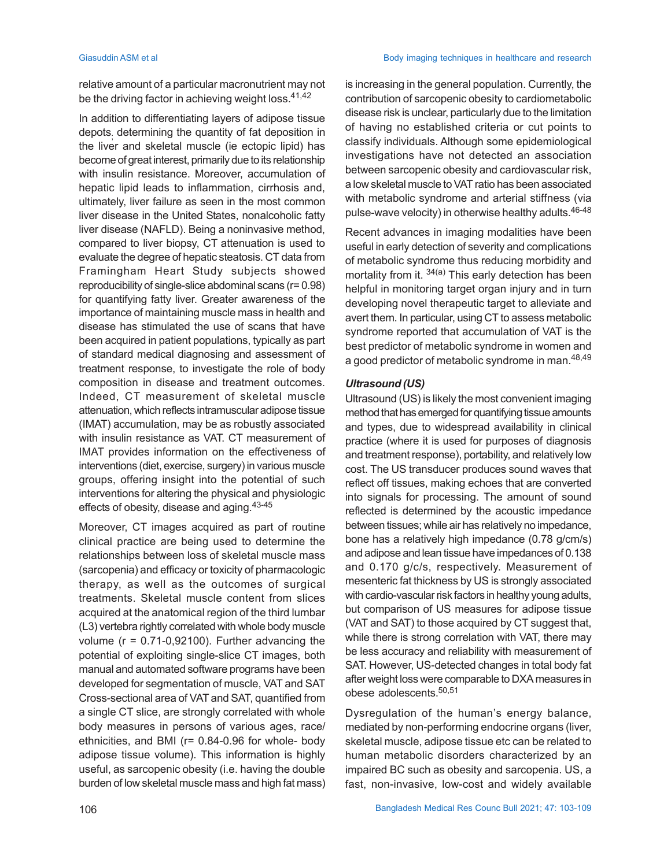relative amount of a particular macronutrient may not be the driving factor in achieving weight loss.<sup>41,42</sup>

In addition to differentiating layers of adipose tissue depots; determining the quantity of fat deposition in the liver and skeletal muscle (ie ectopic lipid) has become of great interest, primarily due to its relationship with insulin resistance. Moreover, accumulation of hepatic lipid leads to inflammation, cirrhosis and, ultimately, liver failure as seen in the most common liver disease in the United States, nonalcoholic fatty liver disease (NAFLD). Being a noninvasive method, compared to liver biopsy, CT attenuation is used to evaluate the degree of hepatic steatosis. CT data from Framingham Heart Study subjects showed reproducibility of single-slice abdominal scans (r= 0.98) for quantifying fatty liver. Greater awareness of the importance of maintaining muscle mass in health and disease has stimulated the use of scans that have been acquired in patient populations, typically as part of standard medical diagnosing and assessment of treatment response, to investigate the role of body composition in disease and treatment outcomes. Indeed, CT measurement of skeletal muscle attenuation, which reflects intramuscular adipose tissue (IMAT) accumulation, may be as robustly associated with insulin resistance as VAT. CT measurement of IMAT provides information on the effectiveness of interventions (diet, exercise, surgery) in various muscle groups, offering insight into the potential of such interventions for altering the physical and physiologic effects of obesity, disease and aging.43-45

Moreover, CT images acquired as part of routine clinical practice are being used to determine the relationships between loss of skeletal muscle mass (sarcopenia) and efficacy or toxicity of pharmacologic therapy, as well as the outcomes of surgical treatments. Skeletal muscle content from slices acquired at the anatomical region of the third lumbar (L3) vertebra rightly correlated with whole body muscle volume ( $r = 0.71-0.92100$ ). Further advancing the potential of exploiting single-slice CT images, both manual and automated software programs have been developed for segmentation of muscle, VAT and SAT Cross-sectional area of VAT and SAT, quantified from a single CT slice, are strongly correlated with whole body measures in persons of various ages, race/ ethnicities, and BMI (r= 0.84-0.96 for whole- body adipose tissue volume). This information is highly useful, as sarcopenic obesity (i.e. having the double burden of low skeletal muscle mass and high fat mass)

is increasing in the general population. Currently, the contribution of sarcopenic obesity to cardiometabolic disease risk is unclear, particularly due to the limitation of having no established criteria or cut points to classify individuals. Although some epidemiological investigations have not detected an association between sarcopenic obesity and cardiovascular risk, a low skeletal muscle to VAT ratio has been associated with metabolic syndrome and arterial stiffness (via pulse-wave velocity) in otherwise healthy adults.46-48

Recent advances in imaging modalities have been useful in early detection of severity and complications of metabolic syndrome thus reducing morbidity and mortality from it. 34(a) This early detection has been helpful in monitoring target organ injury and in turn developing novel therapeutic target to alleviate and avert them. In particular, using CT to assess metabolic syndrome reported that accumulation of VAT is the best predictor of metabolic syndrome in women and a good predictor of metabolic syndrome in man.48,49

### *Ultrasound (US)*

Ultrasound (US) is likely the most convenient imaging method that has emerged for quantifying tissue amounts and types, due to widespread availability in clinical practice (where it is used for purposes of diagnosis and treatment response), portability, and relatively low cost. The US transducer produces sound waves that reflect off tissues, making echoes that are converted into signals for processing. The amount of sound reflected is determined by the acoustic impedance between tissues; while air has relatively no impedance, bone has a relatively high impedance (0.78 g/cm/s) and adipose and lean tissue have impedances of 0.138 and 0.170 g/c/s, respectively. Measurement of mesenteric fat thickness by US is strongly associated with cardio-vascular risk factors in healthy young adults, but comparison of US measures for adipose tissue (VAT and SAT) to those acquired by CT suggest that, while there is strong correlation with VAT, there may be less accuracy and reliability with measurement of SAT. However, US-detected changes in total body fat after weight loss were comparable to DXA measures in obese adolescents.50,51

Dysregulation of the human's energy balance, mediated by non-performing endocrine organs (liver, skeletal muscle, adipose tissue etc can be related to human metabolic disorders characterized by an impaired BC such as obesity and sarcopenia. US, a fast, non-invasive, low-cost and widely available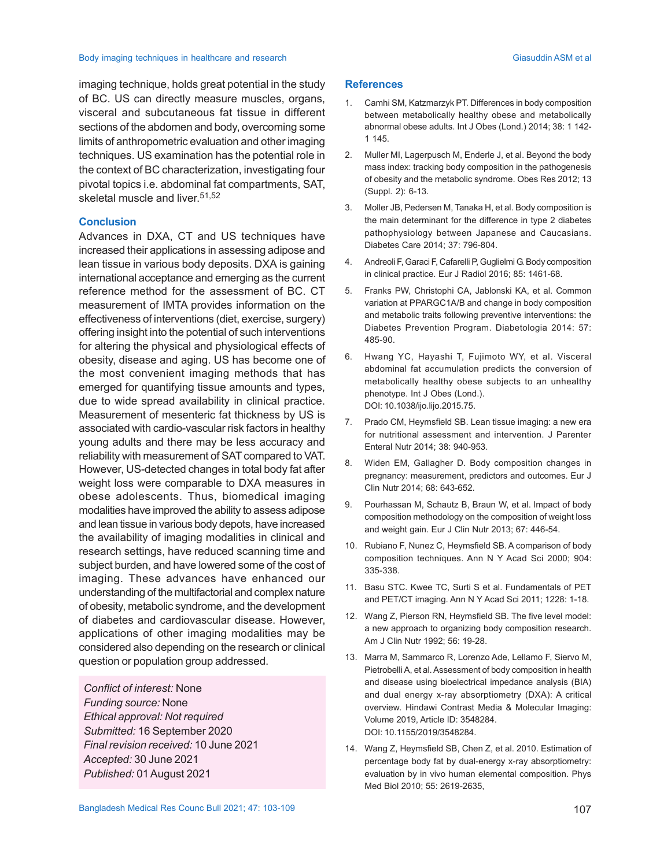imaging technique, holds great potential in the study of BC. US can directly measure muscles, organs, visceral and subcutaneous fat tissue in different sections of the abdomen and body, overcoming some limits of anthropometric evaluation and other imaging techniques. US examination has the potential role in the context of BC characterization, investigating four pivotal topics i.e. abdominal fat compartments, SAT, skeletal muscle and liver. 51,52

#### **Conclusion**

Advances in DXA, CT and US techniques have increased their applications in assessing adipose and lean tissue in various body deposits. DXA is gaining international acceptance and emerging as the current reference method for the assessment of BC. CT measurement of IMTA provides information on the effectiveness of interventions (diet, exercise, surgery) offering insight into the potential of such interventions for altering the physical and physiological effects of obesity, disease and aging. US has become one of the most convenient imaging methods that has emerged for quantifying tissue amounts and types, due to wide spread availability in clinical practice. Measurement of mesenteric fat thickness by US is associated with cardio-vascular risk factors in healthy young adults and there may be less accuracy and reliability with measurement of SAT compared to VAT. However, US-detected changes in total body fat after weight loss were comparable to DXA measures in obese adolescents. Thus, biomedical imaging modalities have improved the ability to assess adipose and lean tissue in various body depots, have increased the availability of imaging modalities in clinical and research settings, have reduced scanning time and subject burden, and have lowered some of the cost of imaging. These advances have enhanced our understanding of the multifactorial and complex nature of obesity, metabolic syndrome, and the development of diabetes and cardiovascular disease. However, applications of other imaging modalities may be considered also depending on the research or clinical question or population group addressed.

*Conflict of interest:* None *Funding source:* None *Ethical approval: Not required Submitted:* 16 September 2020 *Final revision received:* 10 June 2021 *Accepted:* 30 June 2021 *Published:* 01August 2021

#### **References**

- 1. Camhi SM, Katzmarzyk PT. Differences in body composition between metabolically healthy obese and metabolically abnormal obese adults. Int J Obes (Lond.) 2014; 38: 1 142- 1 145.
- 2. Muller MI, Lagerpusch M, Enderle J, et al. Beyond the body mass index: tracking body composition in the pathogenesis of obesity and the metabolic syndrome. Obes Res 2012; 13 (Suppl. 2): 6-13.
- 3. Moller JB, Pedersen M, Tanaka H, et al. Body composition is the main determinant for the difference in type 2 diabetes pathophysiology between Japanese and Caucasians. Diabetes Care 2014; 37: 796-804.
- 4. Andreoli F, Garaci F, Cafarelli P, Guglielmi G. Body composition in clinical practice. Eur J Radiol 2016; 85: 1461-68.
- 5. Franks PW, Christophi CA, Jablonski KA, et al. Common variation at PPARGC1A/B and change in body composition and metabolic traits following preventive interventions: the Diabetes Prevention Program. Diabetologia 2014: 57: 485-90.
- 6. Hwang YC, Hayashi T, Fujimoto WY, et al. Visceral abdominal fat accumulation predicts the conversion of metabolically healthy obese subjects to an unhealthy phenotype. Int J Obes (Lond.). DOI: 10.1038/ijo.lijo.2015.75.
- 7. Prado CM, Heymsfield SB. Lean tissue imaging: a new era for nutritional assessment and intervention. J Parenter Enteral Nutr 2014; 38: 940-953.
- 8. Widen EM, Gallagher D. Body composition changes in pregnancy: measurement, predictors and outcomes. Eur J Clin Nutr 2014; 68: 643-652.
- 9. Pourhassan M, Schautz B, Braun W, et al. lmpact of body composition methodology on the composition of weight loss and weight gain. Eur J Clin Nutr 2013; 67: 446-54.
- 10. Rubiano F, Nunez C, Heymsfield SB. A comparison of body composition techniques. Ann N Y Acad Sci 2000; 904: 335-338.
- 11. Basu STC. Kwee TC, Surti S et al. Fundamentals of PET and PET/CT imaging. Ann N Y Acad Sci 2011; 1228: 1-18.
- 12. Wang Z, Pierson RN, Heymsfield SB. The five level model: a new approach to organizing body composition research. Am J Clin Nutr 1992; 56: 19-28.
- 13. Marra M, Sammarco R, Lorenzo Ade, Lellamo F, Siervo M, Pietrobelli A, et al. Assessment of body composition in health and disease using bioelectrical impedance analysis (BIA) and dual energy x-ray absorptiometry (DXA): A critical overview. Hindawi Contrast Media & Molecular Imaging: Volume 2019, Article ID: 3548284. DOI: 10.1155/2019/3548284.
- 14. Wang Z, Heymsfield SB, Chen Z, et al. 2010. Estimation of percentage body fat by dual-energy x-ray absorptiometry: evaluation by in vivo human elemental composition. Phys Med Biol 2010; 55: 2619-2635,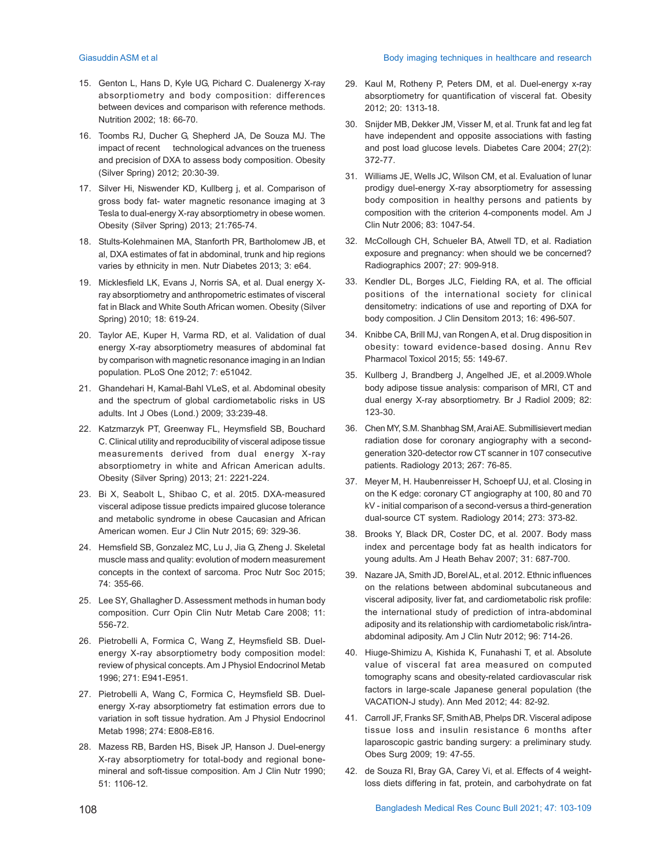#### Giasuddin ASM et al **Body imaging techniques in healthcare and research** Body imaging techniques in healthcare and research

- 15. Genton L, Hans D, Kyle UG, Pichard C. Dualenergy X-ray absorptiometry and body composition: differences between devices and comparison with reference methods. Nutrition 2002; 18: 66-70.
- 16. Toombs RJ, Ducher G, Shepherd JA, De Souza MJ. The impact of recent technological advances on the trueness and precision of DXA to assess body composition. Obesity (Silver Spring) 2012; 20:30-39.
- 17. Silver Hi, Niswender KD, Kullberg j, et al. Comparison of gross body fat- water magnetic resonance imaging at 3 Tesla to dual-energy X-ray absorptiometry in obese women. Obesity (Silver Spring) 2013; 21:765-74.
- 18. Stults-Kolehmainen MA, Stanforth PR, Bartholomew JB, et al, DXA estimates of fat in abdominal, trunk and hip regions varies by ethnicity in men. Nutr Diabetes 2013; 3: e64.
- 19. Micklesfield LK, Evans J, Norris SA, et al. Dual energy Xray absorptiometry and anthropometric estimates of visceral fat in Black and White South African women. Obesity (Silver Spring) 2010; 18: 619-24.
- 20. Taylor AE, Kuper H, Varma RD, et al. Validation of dual energy X-ray absorptiometry measures of abdominal fat by comparison with magnetic resonance imaging in an Indian population. PLoS One 2012; 7: e51042.
- 21. Ghandehari H, Kamal-Bahl VLeS, et al. Abdominal obesity and the spectrum of global cardiometabolic risks in US adults. Int J Obes (Lond.) 2009; 33:239-48.
- 22. Katzmarzyk PT, Greenway FL, Heymsfield SB, Bouchard C. Clinical utility and reproducibility of visceral adipose tissue measurements derived from dual energy X-ray absorptiometry in white and African American adults. Obesity (Silver Spring) 2013; 21: 2221-224.
- 23. Bi X, Seabolt L, Shibao C, et al. 20t5. DXA-measured visceral adipose tissue predicts impaired glucose tolerance and metabolic syndrome in obese Caucasian and African American women. Eur J Clin Nutr 2015; 69: 329-36.
- 24. Hemsfield SB, Gonzalez MC, Lu J, Jia G, Zheng J. Skeletal muscle mass and quality: evolution of modern measurement concepts in the context of sarcoma. Proc Nutr Soc 2015; 74: 355-66.
- 25. Lee SY, Ghallagher D. Assessment methods in human body composition. Curr Opin Clin Nutr Metab Care 2008; 11: 556-72.
- 26. Pietrobelli A, Formica C, Wang Z, Heymsfield SB. Duelenergy X-ray absorptiometry body composition model: review of physical concepts. Am J Physiol Endocrinol Metab 1996; 271: E941-E951.
- 27. Pietrobelli A, Wang C, Formica C, Heymsfield SB. Duelenergy X-ray absorptiometry fat estimation errors due to variation in soft tissue hydration. Am J Physiol Endocrinol Metab 1998; 274: E808-E816.
- 28. Mazess RB, Barden HS, Bisek JP, Hanson J. Duel-energy X-ray absorptiometry for total-body and regional bonemineral and soft-tissue composition. Am J Clin Nutr 1990; 51: 1106-12.
- 29. Kaul M, Rotheny P, Peters DM, et al. Duel-energy x-ray absorptiometry for quantification of visceral fat. Obesity 2012; 20: 1313-18.
- 30. Snijder MB, Dekker JM, Visser M, et al. Trunk fat and leg fat have independent and opposite associations with fasting and post load glucose levels. Diabetes Care 2004; 27(2): 372-77.
- 31. Williams JE, Wells JC, Wilson CM, et al. Evaluation of lunar prodigy duel-energy X-ray absorptiometry for assessing body composition in healthy persons and patients by composition with the criterion 4-components model. Am J Clin Nutr 2006; 83: 1047-54.
- 32. McCollough CH, Schueler BA, Atwell TD, et al. Radiation exposure and pregnancy: when should we be concerned? Radiographics 2007; 27: 909-918.
- 33. Kendler DL, Borges JLC, Fielding RA, et al. The official positions of the international society for clinical densitometry: indications of use and reporting of DXA for body composition. J Clin Densitom 2013; 16: 496-507.
- 34. Knibbe CA, Brill MJ, van Rongen A, et al. Drug disposition in obesity: toward evidence-based dosing. Annu Rev Pharmacol Toxicol 2015; 55: 149-67.
- 35. Kullberg J, Brandberg J, Angelhed JE, et al.2009.Whole body adipose tissue analysis: comparison of MRI, CT and dual energy X-ray absorptiometry. Br J Radiol 2009; 82: 123-30.
- 36. Chen MY, S.M. Shanbhag SM, Arai AE. Submillisievert median radiation dose for coronary angiography with a secondgeneration 320-detector row CT scanner in 107 consecutive patients. Radiology 2013; 267: 76-85.
- 37. Meyer M, H. Haubenreisser H, Schoepf UJ, et al. Closing in on the K edge: coronary CT angiography at 100, 80 and 70 kV - initial comparison of a second-versus a third-generation dual-source CT system. Radiology 2014; 273: 373-82.
- 38. Brooks Y, Black DR, Coster DC, et al. 2007. Body mass index and percentage body fat as health indicators for young adults. Am J Heath Behav 2007; 31: 687-700.
- 39. Nazare JA, Smith JD, Borel AL, et al. 2012. Ethnic influences on the relations between abdominal subcutaneous and visceral adiposity, liver fat, and cardiometabolic risk profile: the international study of prediction of intra-abdominal adiposity and its relationship with cardiometabolic risk/intraabdominal adiposity. Am J Clin Nutr 2012; 96: 714-26.
- 40. Hiuge-Shimizu A, Kishida K, Funahashi T, et al. Absolute value of visceral fat area measured on computed tomography scans and obesity-related cardiovascular risk factors in large-scale Japanese general population (the VACATION-J study). Ann Med 2012; 44: 82-92.
- 41. Carroll JF, Franks SF, Smith AB, Phelps DR. Visceral adipose tissue loss and insulin resistance 6 months after laparoscopic gastric banding surgery: a preliminary study. Obes Surg 2009; 19: 47-55.
- 42. de Souza RI, Bray GA, Carey Vi, et al. Effects of 4 weightloss diets differing in fat, protein, and carbohydrate on fat